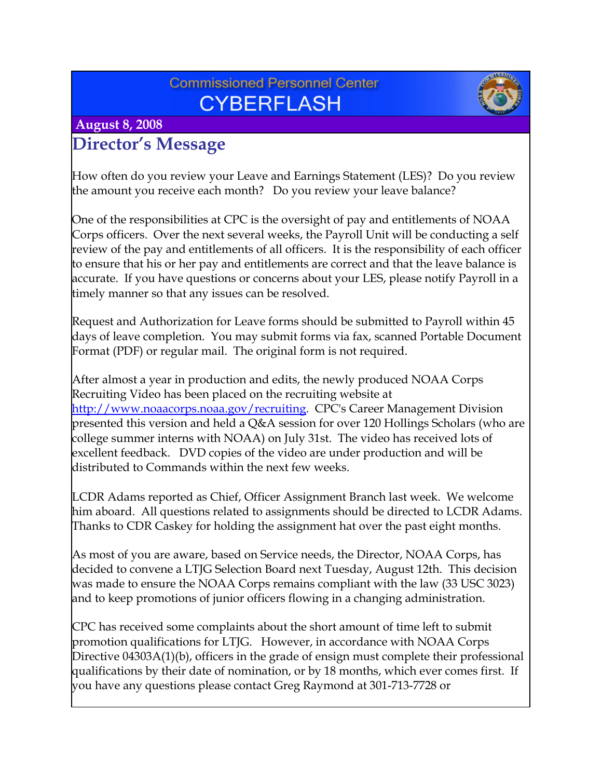## **Commissioned Personnel Center CYBERFLASH**



### **August 8, 2008**

## **Director's Message**

How often do you review your Leave and Earnings Statement (LES)? Do you review the amount you receive each month? Do you review your leave balance?

One of the responsibilities at CPC is the oversight of pay and entitlements of NOAA Corps officers. Over the next several weeks, the Payroll Unit will be conducting a self review of the pay and entitlements of all officers. It is the responsibility of each officer to ensure that his or her pay and entitlements are correct and that the leave balance is accurate. If you have questions or concerns about your LES, please notify Payroll in a timely manner so that any issues can be resolved.

Request and Authorization for Leave forms should be submitted to Payroll within 45 days of leave completion. You may submit forms via fax, scanned Portable Document Format (PDF) or regular mail. The original form is not required.

After almost a year in production and edits, the newly produced NOAA Corps Recruiting Video has been placed on the recruiting website at <http://www.noaacorps.noaa.gov/recruiting>. CPC's Career Management Division presented this version and held a Q&A session for over 120 Hollings Scholars (who are college summer interns with NOAA) on July 31st. The video has received lots of excellent feedback. DVD copies of the video are under production and will be distributed to Commands within the next few weeks.

LCDR Adams reported as Chief, Officer Assignment Branch last week. We welcome him aboard. All questions related to assignments should be directed to LCDR Adams. Thanks to CDR Caskey for holding the assignment hat over the past eight months.

As most of you are aware, based on Service needs, the Director, NOAA Corps, has decided to convene a LTJG Selection Board next Tuesday, August 12th. This decision was made to ensure the NOAA Corps remains compliant with the law (33 USC 3023) and to keep promotions of junior officers flowing in a changing administration.

CPC has received some complaints about the short amount of time left to submit promotion qualifications for LTJG. However, in accordance with NOAA Corps Directive 04303A(1)(b), officers in the grade of ensign must complete their professional qualifications by their date of nomination, or by 18 months, which ever comes first. If you have any questions please contact Greg Raymond at 301-713-7728 or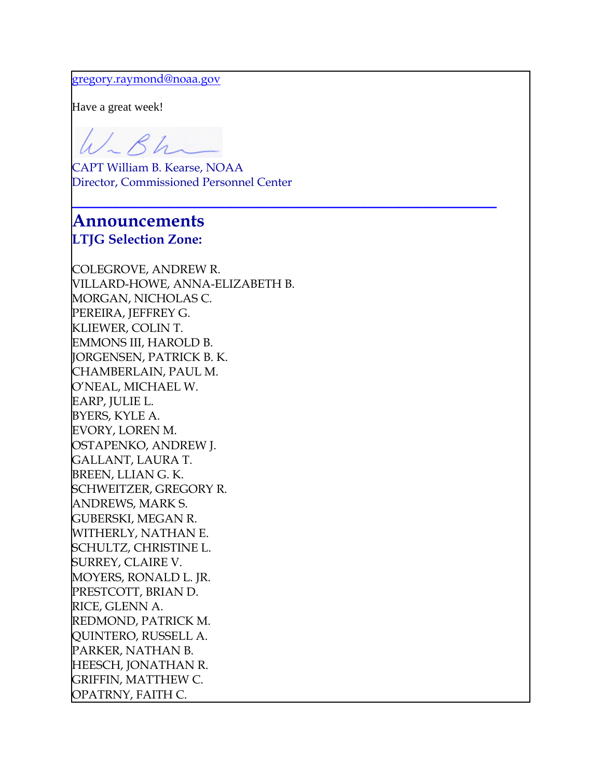#### [gregory.raymond@noaa.gov](mailto:gregory.raymond@noaa.gov)

Have a great week!

W-Bh

CAPT William B. Kearse, NOAA Director, Commissioned Personnel Center

**\_\_\_\_\_\_\_\_\_\_\_\_\_\_\_\_\_\_\_\_\_\_\_\_\_\_\_\_\_\_\_\_\_\_\_\_\_\_\_\_\_\_\_\_\_\_\_\_**

#### **Announcements LTJG Selection Zone:**

COLEGROVE, ANDREW R. VILLARD-HOWE, ANNA-ELIZABETH B. MORGAN, NICHOLAS C. PEREIRA, JEFFREY G. KLIEWER, COLIN T. EMMONS III, HAROLD B. JORGENSEN, PATRICK B. K. CHAMBERLAIN, PAUL M. O'NEAL, MICHAEL W. EARP, JULIE L. BYERS, KYLE A. EVORY, LOREN M. OSTAPENKO, ANDREW J. GALLANT, LAURA T. BREEN, LLIAN G. K. SCHWEITZER, GREGORY R. ANDREWS, MARK S. GUBERSKI, MEGAN R. WITHERLY, NATHAN E. SCHULTZ, CHRISTINE L. SURREY, CLAIRE V. MOYERS, RONALD L. JR. PRESTCOTT, BRIAN D. RICE, GLENN A. REDMOND, PATRICK M. QUINTERO, RUSSELL A. PARKER, NATHAN B. HEESCH, JONATHAN R. GRIFFIN, MATTHEW C. OPATRNY, FAITH C.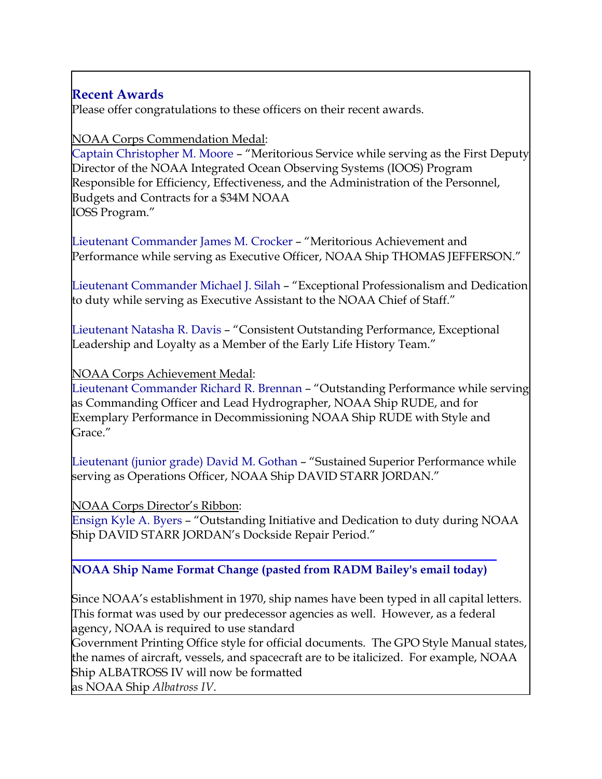### **Recent Awards**

Please offer congratulations to these officers on their recent awards.

#### NOAA Corps Commendation Medal:

Captain Christopher M. Moore – "Meritorious Service while serving as the First Deputy Director of the NOAA Integrated Ocean Observing Systems (IOOS) Program Responsible for Efficiency, Effectiveness, and the Administration of the Personnel, Budgets and Contracts for a \$34M NOAA IOSS Program."

Lieutenant Commander James M. Crocker – "Meritorious Achievement and Performance while serving as Executive Officer, NOAA Ship THOMAS JEFFERSON."

Lieutenant Commander Michael J. Silah – "Exceptional Professionalism and Dedication to duty while serving as Executive Assistant to the NOAA Chief of Staff."

Lieutenant Natasha R. Davis – "Consistent Outstanding Performance, Exceptional Leadership and Loyalty as a Member of the Early Life History Team."

NOAA Corps Achievement Medal:

Lieutenant Commander Richard R. Brennan – "Outstanding Performance while serving as Commanding Officer and Lead Hydrographer, NOAA Ship RUDE, and for Exemplary Performance in Decommissioning NOAA Ship RUDE with Style and Grace<sup>"</sup>

Lieutenant (junior grade) David M. Gothan – "Sustained Superior Performance while serving as Operations Officer, NOAA Ship DAVID STARR JORDAN."

NOAA Corps Director's Ribbon:

Ensign Kyle A. Byers – "Outstanding Initiative and Dedication to duty during NOAA Ship DAVID STARR JORDAN's Dockside Repair Period."

#### **\_\_\_\_\_\_\_\_\_\_\_\_\_\_\_\_\_\_\_\_\_\_\_\_\_\_\_\_\_\_\_\_\_\_\_\_\_\_\_\_\_\_\_\_\_\_\_\_ NOAA Ship Name Format Change (pasted from RADM Bailey's email today)**

Since NOAA's establishment in 1970, ship names have been typed in all capital letters. This format was used by our predecessor agencies as well. However, as a federal agency, NOAA is required to use standard

Government Printing Office style for official documents. The GPO Style Manual states, the names of aircraft, vessels, and spacecraft are to be italicized. For example, NOAA Ship ALBATROSS IV will now be formatted

as NOAA Ship *Albatross IV*.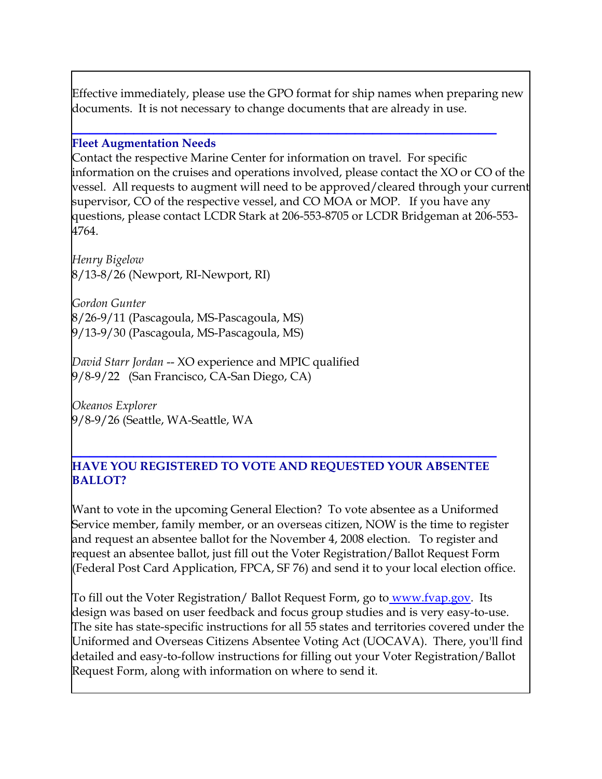Effective immediately, please use the GPO format for ship names when preparing new documents. It is not necessary to change documents that are already in use.

#### **\_\_\_\_\_\_\_\_\_\_\_\_\_\_\_\_\_\_\_\_\_\_\_\_\_\_\_\_\_\_\_\_\_\_\_\_\_\_\_\_\_\_\_\_\_\_\_\_ Fleet Augmentation Needs**

Contact the respective Marine Center for information on travel. For specific information on the cruises and operations involved, please contact the XO or CO of the vessel. All requests to augment will need to be approved/cleared through your current supervisor, CO of the respective vessel, and CO MOA or MOP. If you have any questions, please contact LCDR Stark at 206-553-8705 or LCDR Bridgeman at 206-553- 4764.

*Henry Bigelow* 8/13-8/26 (Newport, RI-Newport, RI)

*Gordon Gunter* 8/26-9/11 (Pascagoula, MS-Pascagoula, MS) 9/13-9/30 (Pascagoula, MS-Pascagoula, MS)

*David Starr Jordan* -- XO experience and MPIC qualified 9/8-9/22 (San Francisco, CA-San Diego, CA)

*Okeanos Explorer* 9/8-9/26 (Seattle, WA-Seattle, WA

#### **\_\_\_\_\_\_\_\_\_\_\_\_\_\_\_\_\_\_\_\_\_\_\_\_\_\_\_\_\_\_\_\_\_\_\_\_\_\_\_\_\_\_\_\_\_\_\_\_ HAVE YOU REGISTERED TO VOTE AND REQUESTED YOUR ABSENTEE BALLOT?**

Want to vote in the upcoming General Election? To vote absentee as a Uniformed Service member, family member, or an overseas citizen, NOW is the time to register and request an absentee ballot for the November 4, 2008 election. To register and request an absentee ballot, just fill out the Voter Registration/Ballot Request Form (Federal Post Card Application, FPCA, SF 76) and send it to your local election office.

To fill out the Voter Registration/ Ballot Request Form, go to [www.fvap.gov.](http://www.fvap.gov/) Its design was based on user feedback and focus group studies and is very easy-to-use. The site has state-specific instructions for all 55 states and territories covered under the Uniformed and Overseas Citizens Absentee Voting Act (UOCAVA). There, you'll find detailed and easy-to-follow instructions for filling out your Voter Registration/Ballot Request Form, along with information on where to send it.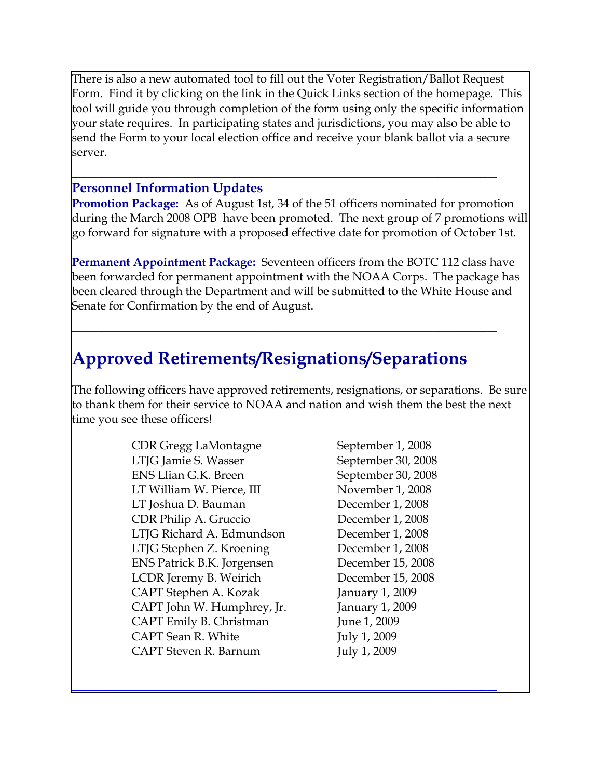There is also a new automated tool to fill out the Voter Registration/Ballot Request Form. Find it by clicking on the link in the Quick Links section of the homepage. This tool will guide you through completion of the form using only the specific information your state requires. In participating states and jurisdictions, you may also be able to send the Form to your local election office and receive your blank ballot via a secure server.

**\_\_\_\_\_\_\_\_\_\_\_\_\_\_\_\_\_\_\_\_\_\_\_\_\_\_\_\_\_\_\_\_\_\_\_\_\_\_\_\_\_\_\_\_\_\_\_\_**

#### **Personnel Information Updates**

**Promotion Package:** As of August 1st, 34 of the 51 officers nominated for promotion during the March 2008 OPB have been promoted. The next group of 7 promotions will go forward for signature with a proposed effective date for promotion of October 1st.

**Permanent Appointment Package:** Seventeen officers from the BOTC 112 class have been forwarded for permanent appointment with the NOAA Corps. The package has been cleared through the Department and will be submitted to the White House and Senate for Confirmation by the end of August.

**\_\_\_\_\_\_\_\_\_\_\_\_\_\_\_\_\_\_\_\_\_\_\_\_\_\_\_\_\_\_\_\_\_\_\_\_\_\_\_\_\_\_\_\_\_\_\_\_**

## **Approved Retirements/Resignations/Separations**

The following officers have approved retirements, resignations, or separations. Be sure to thank them for their service to NOAA and nation and wish them the best the next time you see these officers!

**\_\_\_\_\_\_\_\_\_\_\_\_\_\_\_\_\_\_\_\_\_\_\_\_\_\_\_\_\_\_\_\_\_\_\_\_\_\_\_\_\_\_\_\_\_\_\_\_**

CDR Gregg LaMontagne September 1, 2008 LTJG Jamie S. Wasser September 30, 2008 ENS Llian G.K. Breen September 30, 2008 LT William W. Pierce, III November 1, 2008 LT Joshua D. Bauman December 1, 2008 CDR Philip A. Gruccio December 1, 2008 LTJG Richard A. Edmundson December 1, 2008 LTJG Stephen Z. Kroening December 1, 2008 ENS Patrick B.K. Jorgensen December 15, 2008 LCDR Jeremy B. Weirich December 15, 2008 CAPT Stephen A. Kozak January 1, 2009 CAPT John W. Humphrey, Jr. January 1, 2009 CAPT Emily B. Christman June 1, 2009 CAPT Sean R. White July 1, 2009 CAPT Steven R. Barnum July 1, 2009